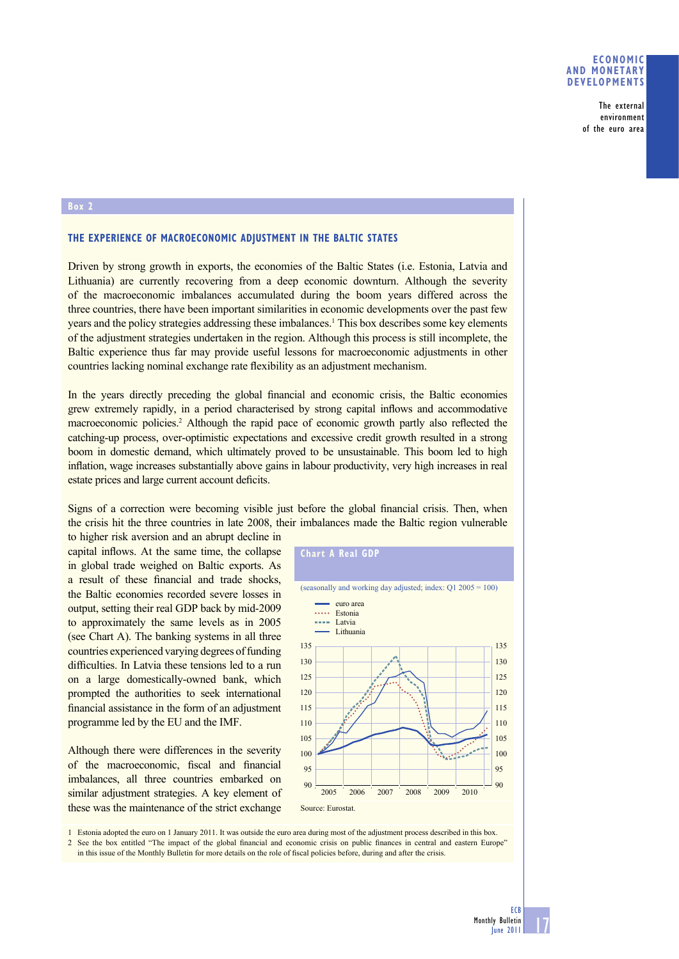## **ECONOMIC AND MONETARY DEVELOPMENTS**

The external environment of the euro area

## **Box 2**

## **THE EXPERIENCE OF MACROECONOMIC ADJUSTMENT IN THE BALTIC STATES**

Driven by strong growth in exports, the economies of the Baltic States (i.e. Estonia, Latvia and Lithuania) are currently recovering from a deep economic downturn. Although the severity of the macroeconomic imbalances accumulated during the boom years differed across the three countries, there have been important similarities in economic developments over the past few years and the policy strategies addressing these imbalances.1 This box describes some key elements of the adjustment strategies undertaken in the region. Although this process is still incomplete, the Baltic experience thus far may provide useful lessons for macroeconomic adjustments in other countries lacking nominal exchange rate flexibility as an adjustment mechanism.

In the years directly preceding the global financial and economic crisis, the Baltic economies grew extremely rapidly, in a period characterised by strong capital inflows and accommodative macroeconomic policies.<sup>2</sup> Although the rapid pace of economic growth partly also reflected the catching-up process, over-optimistic expectations and excessive credit growth resulted in a strong boom in domestic demand, which ultimately proved to be unsustainable. This boom led to high inflation, wage increases substantially above gains in labour productivity, very high increases in real estate prices and large current account deficits.

Signs of a correction were becoming visible just before the global financial crisis. Then, when the crisis hit the three countries in late 2008, their imbalances made the Baltic region vulnerable

to higher risk aversion and an abrupt decline in capital inflows. At the same time, the collapse in global trade weighed on Baltic exports. As a result of these financial and trade shocks, the Baltic economies recorded severe losses in output, setting their real GDP back by mid-2009 to approximately the same levels as in 2005 (see Chart A). The banking systems in all three countries experienced varying degrees of funding difficulties. In Latvia these tensions led to a run on a large domestically-owned bank, which prompted the authorities to seek international financial assistance in the form of an adjustment programme led by the EU and the IMF.

Although there were differences in the severity of the macroeconomic, fiscal and financial imbalances, all three countries embarked on similar adjustment strategies. A key element of these was the maintenance of the strict exchange



1 Estonia adopted the euro on 1 January 2011. It was outside the euro area during most of the adjustment process described in this box.

2 See the box entitled "The impact of the global financial and economic crisis on public finances in central and eastern Europe" in this issue of the Monthly Bulletin for more details on the role of fiscal policies before, during and after the crisis.

17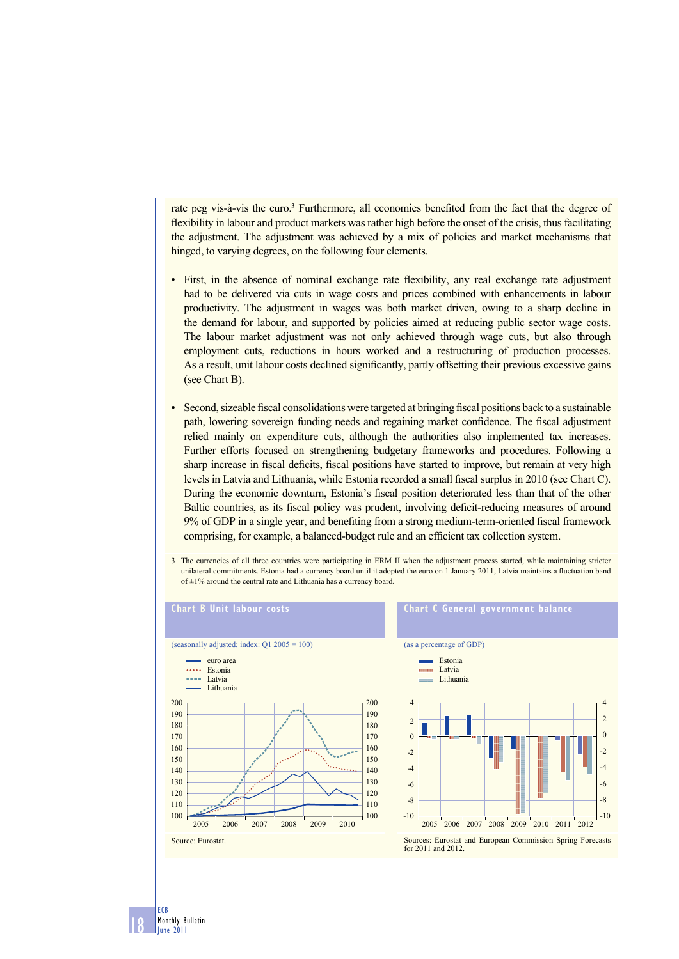rate peg vis-à-vis the euro.<sup>3</sup> Furthermore, all economies benefited from the fact that the degree of flexibility in labour and product markets was rather high before the onset of the crisis, thus facilitating the adjustment. The adjustment was achieved by a mix of policies and market mechanisms that hinged, to varying degrees, on the following four elements.

- First, in the absence of nominal exchange rate flexibility, any real exchange rate adjustment had to be delivered via cuts in wage costs and prices combined with enhancements in labour productivity. The adjustment in wages was both market driven, owing to a sharp decline in the demand for labour, and supported by policies aimed at reducing public sector wage costs. The labour market adjustment was not only achieved through wage cuts, but also through employment cuts, reductions in hours worked and a restructuring of production processes. As a result, unit labour costs declined significantly, partly offsetting their previous excessive gains (see Chart B).
- Second, sizeable fiscal consolidations were targeted at bringing fiscal positions back to a sustainable path, lowering sovereign funding needs and regaining market confidence. The fiscal adjustment relied mainly on expenditure cuts, although the authorities also implemented tax increases. Further efforts focused on strengthening budgetary frameworks and procedures. Following a sharp increase in fiscal deficits, fiscal positions have started to improve, but remain at very high levels in Latvia and Lithuania, while Estonia recorded a small fiscal surplus in 2010 (see Chart C). During the economic downturn, Estonia's fiscal position deteriorated less than that of the other Baltic countries, as its fiscal policy was prudent, involving deficit-reducing measures of around 9% of GDP in a single year, and benefiting from a strong medium-term-oriented fiscal framework comprising, for example, a balanced-budget rule and an efficient tax collection system.
- 3 The currencies of all three countries were participating in ERM II when the adjustment process started, while maintaining stricter unilateral commitments. Estonia had a currency board until it adopted the euro on 1 January 2011, Latvia maintains a fluctuation band of  $\pm$ 1% around the central rate and Lithuania has a currency board.